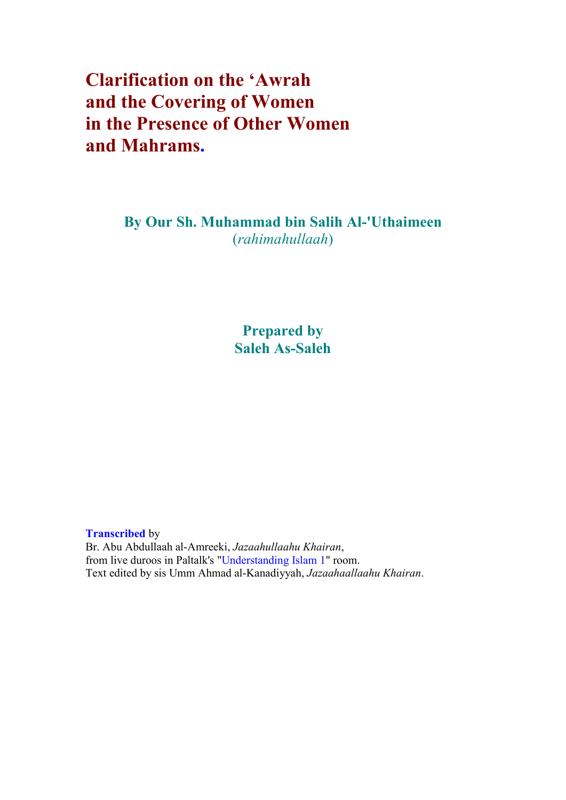## Clarification on the 'Awrah and the Covering of Women in the Presence of Other Women and Mahrams.

By Our Sh. Muhammad bin Salih Al-'Uthaimeen (rahimahullaah)

> Prepared by Saleh As-Saleh

Transcribed by Br. Abu Abdullaah al-Amreeki, Jazaahullaahu Khairan, from live duroos in Paltalk's "Understanding Islam 1" room. Text edited by sis Umm Ahmad al-Kanadiyyah, Jazaahaallaahu Khairan.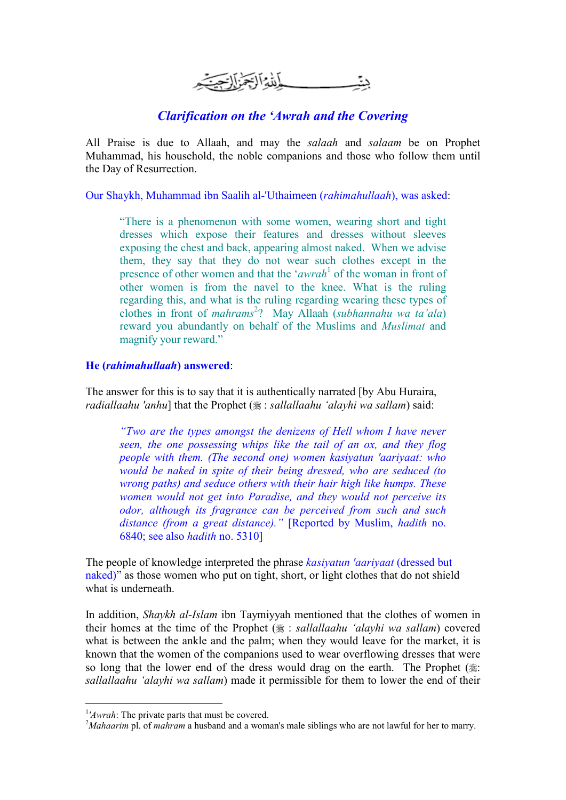\_\_\_\_\_\_\_\_\_ أِنِّدْهُ الْأَجْرَٰزَ الْبَحْيَةِ

## Clarification on the 'Awrah and the Covering

All Praise is due to Allaah, and may the salaah and salaam be on Prophet Muhammad, his household, the noble companions and those who follow them until the Day of Resurrection.

Our Shaykh, Muhammad ibn Saalih al-'Uthaimeen (rahimahullaah), was asked:

"There is a phenomenon with some women, wearing short and tight dresses which expose their features and dresses without sleeves exposing the chest and back, appearing almost naked. When we advise them, they say that they do not wear such clothes except in the presence of other women and that the 'awrah<sup>1</sup> of the woman in front of other women is from the navel to the knee. What is the ruling regarding this, and what is the ruling regarding wearing these types of clothes in front of mahrams<sup>2</sup>? May Allaah (subhannahu wa ta'ala) reward you abundantly on behalf of the Muslims and Muslimat and magnify your reward."

## He (rahimahullaah) answered:

The answer for this is to say that it is authentically narrated [by Abu Huraira, radiallaahu 'anhu] that the Prophet  $(\frac{1}{2})$ : sallallaahu 'alayhi wa sallam) said:

"Two are the types amongst the denizens of Hell whom I have never seen, the one possessing whips like the tail of an ox, and they flog people with them. (The second one) women kasiyatun 'aariyaat: who would be naked in spite of their being dressed, who are seduced (to wrong paths) and seduce others with their hair high like humps. These women would not get into Paradise, and they would not perceive its odor, although its fragrance can be perceived from such and such distance (from a great distance)." [Reported by Muslim, hadith no. 6840; see also hadith no. 5310]

The people of knowledge interpreted the phrase kasiyatun 'aariyaat (dressed but naked)" as those women who put on tight, short, or light clothes that do not shield what is underneath.

In addition, Shaykh al-Islam ibn Taymiyyah mentioned that the clothes of women in their homes at the time of the Prophet  $(\frac{1}{2})$ : sallallaahu 'alayhi wa sallam) covered what is between the ankle and the palm; when they would leave for the market, it is known that the women of the companions used to wear overflowing dresses that were so long that the lower end of the dress would drag on the earth. The Prophet  $(\frac{1}{2})$ : sallallaahu 'alayhi wa sallam) made it permissible for them to lower the end of their

-

<sup>&</sup>lt;sup>1</sup>'Awrah: The private parts that must be covered.

<sup>&</sup>lt;sup>2</sup>Mahaarim pl. of mahram a husband and a woman's male siblings who are not lawful for her to marry.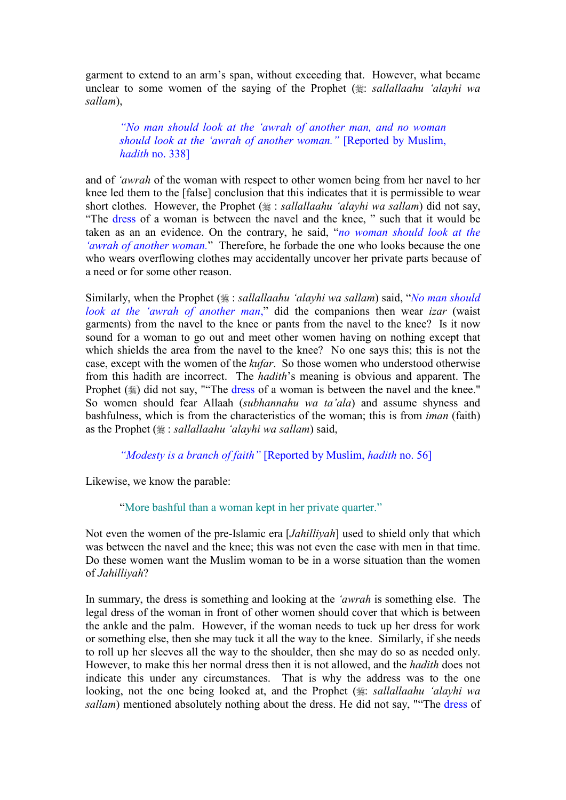garment to extend to an arm's span, without exceeding that. However, what became unclear to some women of the saying of the Prophet  $(\frac{1}{2})$  sallallaahu 'alayhi wa sallam),

"No man should look at the 'awrah of another man, and no woman should look at the 'awrah of another woman." [Reported by Muslim, hadith no. 338]

and of 'awrah of the woman with respect to other women being from her navel to her knee led them to the [false] conclusion that this indicates that it is permissible to wear short clothes. However, the Prophet  $(\frac{1}{2})$  : sallallaahu 'alayhi wa sallam) did not say, "The dress of a woman is between the navel and the knee, " such that it would be taken as an an evidence. On the contrary, he said, "no woman should look at the 'awrah of another woman." Therefore, he forbade the one who looks because the one who wears overflowing clothes may accidentally uncover her private parts because of a need or for some other reason.

Similarly, when the Prophet  $(\frac{1}{2})$ : sallallaahu 'alayhi wa sallam) said, ''No man should look at the 'awrah of another man," did the companions then wear izar (waist garments) from the navel to the knee or pants from the navel to the knee? Is it now sound for a woman to go out and meet other women having on nothing except that which shields the area from the navel to the knee? No one says this; this is not the case, except with the women of the kufar. So those women who understood otherwise from this hadith are incorrect. The hadith's meaning is obvious and apparent. The Prophet  $(\frac{1}{2})$  did not say, ""The dress of a woman is between the navel and the knee." So women should fear Allaah (subhannahu wa ta'ala) and assume shyness and bashfulness, which is from the characteristics of the woman; this is from iman (faith) as the Prophet  $(\frac{1}{2})$ : sallallaahu 'alayhi wa sallam) said,

"Modesty is a branch of faith" [Reported by Muslim, hadith no. 56]

Likewise, we know the parable:

"More bashful than a woman kept in her private quarter."

Not even the women of the pre-Islamic era [*Jahilliyah*] used to shield only that which was between the navel and the knee; this was not even the case with men in that time. Do these women want the Muslim woman to be in a worse situation than the women of Jahilliyah?

In summary, the dress is something and looking at the *'awrah* is something else. The legal dress of the woman in front of other women should cover that which is between the ankle and the palm. However, if the woman needs to tuck up her dress for work or something else, then she may tuck it all the way to the knee. Similarly, if she needs to roll up her sleeves all the way to the shoulder, then she may do so as needed only. However, to make this her normal dress then it is not allowed, and the hadith does not indicate this under any circumstances. That is why the address was to the one looking, not the one being looked at, and the Prophet  $(\frac{1}{2})$  sallallaahu 'alayhi wa sallam) mentioned absolutely nothing about the dress. He did not say, ""The dress of